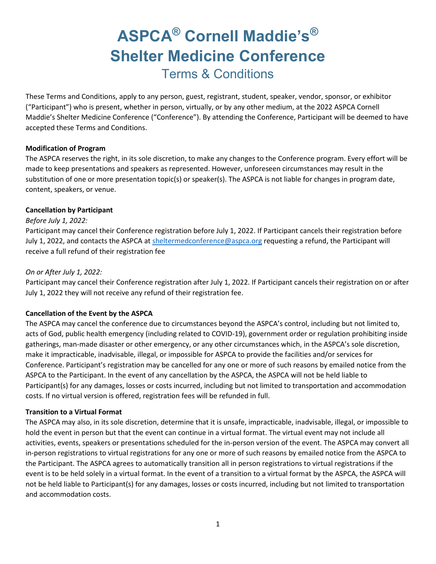# **ASPCA® Cornell Maddie's® Shelter Medicine Conference** Terms & Conditions

These Terms and Conditions, apply to any person, guest, registrant, student, speaker, vendor, sponsor, or exhibitor ("Participant") who is present, whether in person, virtually, or by any other medium, at the 2022 ASPCA Cornell Maddie's Shelter Medicine Conference ("Conference"). By attending the Conference, Participant will be deemed to have accepted these Terms and Conditions.

## **Modification of Program**

The ASPCA reserves the right, in its sole discretion, to make any changes to the Conference program. Every effort will be made to keep presentations and speakers as represented. However, unforeseen circumstances may result in the substitution of one or more presentation topic(s) or speaker(s). The ASPCA is not liable for changes in program date, content, speakers, or venue.

## **Cancellation by Participant**

#### *Before July 1, 2022:*

Participant may cancel their Conference registration before July 1, 2022. If Participant cancels their registration before July 1, 2022, and contacts the ASPCA at [sheltermedconference@aspca.org](mailto:sheltermedconference@aspca.org) requesting a refund, the Participant will receive a full refund of their registration fee

## *On or After July 1, 2022:*

Participant may cancel their Conference registration after July 1, 2022. If Participant cancels their registration on or after July 1, 2022 they will not receive any refund of their registration fee.

## **Cancellation of the Event by the ASPCA**

The ASPCA may cancel the conference due to circumstances beyond the ASPCA's control, including but not limited to, acts of God, public health emergency (including related to COVID-19), government order or regulation prohibiting inside gatherings, man-made disaster or other emergency, or any other circumstances which, in the ASPCA's sole discretion, make it impracticable, inadvisable, illegal, or impossible for ASPCA to provide the facilities and/or services for Conference. Participant's registration may be cancelled for any one or more of such reasons by emailed notice from the ASPCA to the Participant. In the event of any cancellation by the ASPCA, the ASPCA will not be held liable to Participant(s) for any damages, losses or costs incurred, including but not limited to transportation and accommodation costs. If no virtual version is offered, registration fees will be refunded in full.

#### **Transition to a Virtual Format**

The ASPCA may also, in its sole discretion, determine that it is unsafe, impracticable, inadvisable, illegal, or impossible to hold the event in person but that the event can continue in a virtual format. The virtual event may not include all activities, events, speakers or presentations scheduled for the in-person version of the event. The ASPCA may convert all in-person registrations to virtual registrations for any one or more of such reasons by emailed notice from the ASPCA to the Participant. The ASPCA agrees to automatically transition all in person registrations to virtual registrations if the event is to be held solely in a virtual format. In the event of a transition to a virtual format by the ASPCA, the ASPCA will not be held liable to Participant(s) for any damages, losses or costs incurred, including but not limited to transportation and accommodation costs.